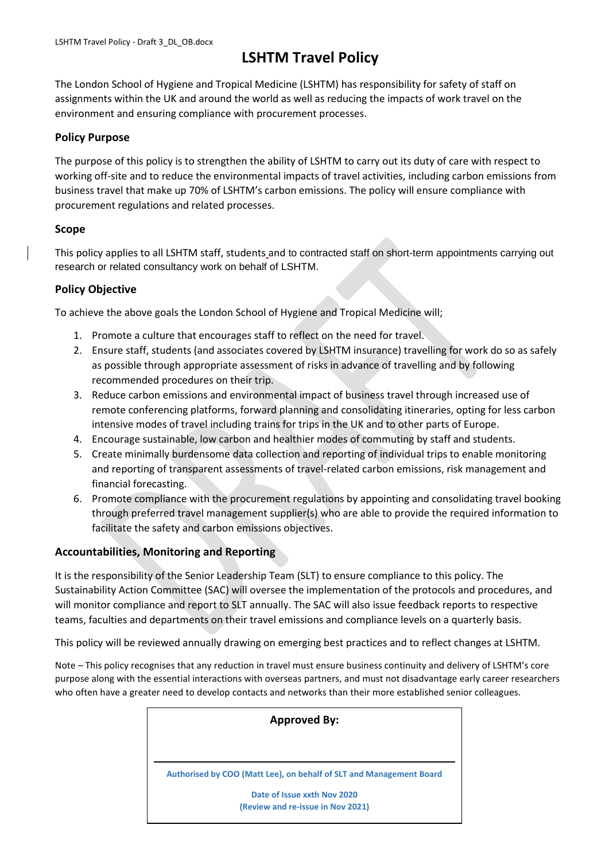# **LSHTM Travel Policy**

The London School of Hygiene and Tropical Medicine (LSHTM) has responsibility for safety of staff on assignments within the UK and around the world as well as reducing the impacts of work travel on the environment and ensuring compliance with procurement processes.

## **Policy Purpose**

The purpose of this policy is to strengthen the ability of LSHTM to carry out its duty of care with respect to working off-site and to reduce the environmental impacts of travel activities, including carbon emissions from business travel that make up 70% of LSHTM's carbon emissions. The policy will ensure compliance with procurement regulations and related processes.

## **Scope**

This policy applies to all LSHTM staff, students and to contracted staff on short-term appointments carrying out research or related consultancy work on behalf of LSHTM.

## **Policy Objective**

To achieve the above goals the London School of Hygiene and Tropical Medicine will;

- 1. Promote a culture that encourages staff to reflect on the need for travel.
- 2. Ensure staff, students (and associates covered by LSHTM insurance) travelling for work do so as safely as possible through appropriate assessment of risks in advance of travelling and by following recommended procedures on their trip.
- 3. Reduce carbon emissions and environmental impact of business travel through increased use of remote conferencing platforms, forward planning and consolidating itineraries, opting for less carbon intensive modes of travel including trains for trips in the UK and to other parts of Europe.
- 4. Encourage sustainable, low carbon and healthier modes of commuting by staff and students.
- 5. Create minimally burdensome data collection and reporting of individual trips to enable monitoring and reporting of transparent assessments of travel-related carbon emissions, risk management and financial forecasting.
- 6. Promote compliance with the procurement regulations by appointing and consolidating travel booking through preferred travel management supplier(s) who are able to provide the required information to facilitate the safety and carbon emissions objectives.

## **Accountabilities, Monitoring and Reporting**

It is the responsibility of the Senior Leadership Team (SLT) to ensure compliance to this policy. The Sustainability Action Committee (SAC) will oversee the implementation of the protocols and procedures, and will monitor compliance and report to SLT annually. The SAC will also issue feedback reports to respective teams, faculties and departments on their travel emissions and compliance levels on a quarterly basis.

This policy will be reviewed annually drawing on emerging best practices and to reflect changes at LSHTM.

Note – This policy recognises that any reduction in travel must ensure business continuity and delivery of LSHTM's core purpose along with the essential interactions with overseas partners, and must not disadvantage early career researchers who often have a greater need to develop contacts and networks than their more established senior colleagues.

| <b>Approved By:</b> |                                                                     |
|---------------------|---------------------------------------------------------------------|
|                     |                                                                     |
|                     | Authorised by COO (Matt Lee), on behalf of SLT and Management Board |
|                     | Date of Issue xxth Nov 2020                                         |
|                     | (Review and re-issue in Nov 2021)                                   |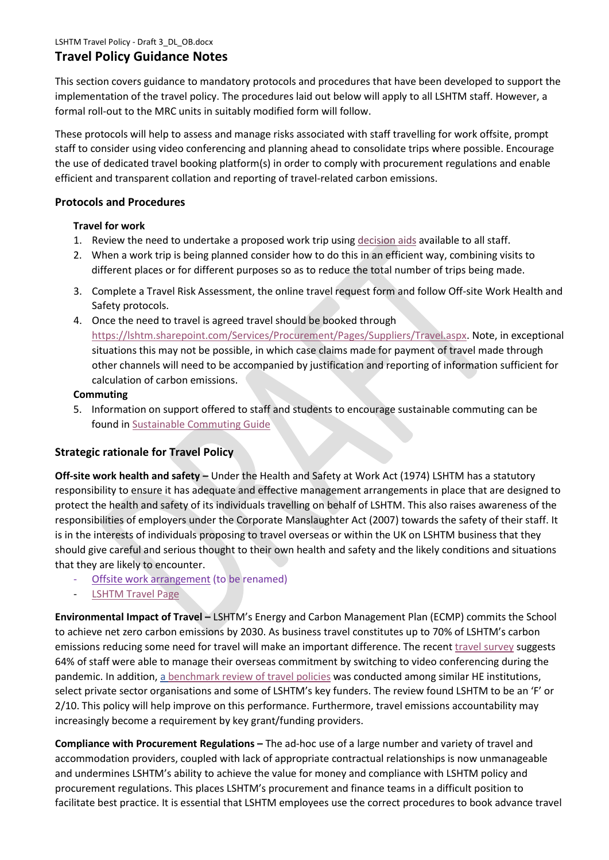# **Travel Policy Guidance Notes**

This section covers guidance to mandatory protocols and procedures that have been developed to support the implementation of the travel policy. The procedures laid out below will apply to all LSHTM staff. However, a formal roll-out to the MRC units in suitably modified form will follow.

These protocols will help to assess and manage risks associated with staff travelling for work offsite, prompt staff to consider using video conferencing and planning ahead to consolidate trips where possible. Encourage the use of dedicated travel booking platform(s) in order to comply with procurement regulations and enable efficient and transparent collation and reporting of travel-related carbon emissions.

## **Protocols and Procedures**

## **Travel for work**

- 1. Review the need to undertake a proposed work trip usin[g decision aids](https://3f921602-93fe-4410-8609-107df45166e8.filesusr.com/ugd/7daaef_a01bafd5ef7b4e5496478bd2642d05dd.pdf) available to all staff.
- 2. When a work trip is being planned consider how to do this in an efficient way, combining visits to different places or for different purposes so as to reduce the total number of trips being made.
- 3. Complete a Travel Risk Assessment, the online travel request form and follow Off-site Work Health and Safety protocols.
- 4. Once the need to travel is agreed travel should be booked through [https://lshtm.sharepoint.com/Services/Procurement/Pages/Suppliers/Travel.aspx.](https://lshtm.sharepoint.com/Services/Procurement/Pages/Suppliers/Travel.aspx) Note, in exceptional situations this may not be possible, in which case claims made for payment of travel made through other channels will need to be accompanied by justification and reporting of information sufficient for calculation of carbon emissions.

## **Commuting**

5. Information on support offered to staff and students to encourage sustainable commuting can be found in [Sustainable Commuting Guide](https://3f921602-93fe-4410-8609-107df45166e8.filesusr.com/ugd/7daaef_46b814dacfd8460fa53c9813663efd23.pdf)

# **Strategic rationale for Travel Policy**

**Off-site work health and safety –** Under the Health and Safety at Work Act (1974) LSHTM has a statutory responsibility to ensure it has adequate and effective management arrangements in place that are designed to protect the health and safety of its individuals travelling on behalf of LSHTM. This also raises awareness of the responsibilities of employers under the Corporate Manslaughter Act (2007) towards the safety of their staff. It is in the interests of individuals proposing to travel overseas or within the UK on LSHTM business that they should give careful and serious thought to their own health and safety and the likely conditions and situations that they are likely to encounter.

- [Offsite work arrangement](https://lshtm.sharepoint.com/Services/Safety/Documents/Intranet%20Site/LSHTM%20Offsite%20Working%20Policy.pdf) (to be renamed)
- [LSHTM Travel Page](https://lshtm.sharepoint.com/Services/travel/)

**Environmental Impact of Travel –** LSHTM's Energy and Carbon Management Plan (ECMP) commits the School to achieve net zero carbon emissions by 2030. As business travel constitutes up to 70% of LSHTM's carbon emissions reducing some need for travel will make an important difference. The recen[t travel survey](https://www.lshtm.ac.uk/media/43631) suggests 64% of staff were able to manage their overseas commitment by switching to video conferencing during the pandemic. In addition, a [benchmark review of travel policies](https://www.lshtm.ac.uk/media/43626) was conducted among similar HE institutions, select private sector organisations and some of LSHTM's key funders. The review found LSHTM to be an 'F' or 2/10. This policy will help improve on this performance. Furthermore, travel emissions accountability may increasingly become a requirement by key grant/funding providers.

**Compliance with Procurement Regulations –** The ad-hoc use of a large number and variety of travel and accommodation providers, coupled with lack of appropriate contractual relationships is now unmanageable and undermines LSHTM's ability to achieve the value for money and compliance with LSHTM policy and procurement regulations. This places LSHTM's procurement and finance teams in a difficult position to facilitate best practice. It is essential that LSHTM employees use the correct procedures to book advance travel